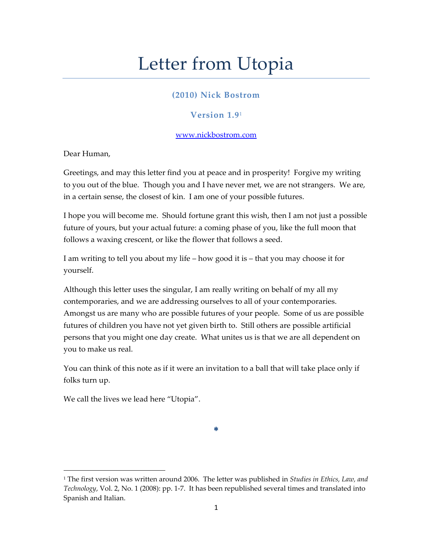# Letter from Utopia

# **(2010) Nick Bostrom**

## **Version 1.9**<sup>1</sup>

## [www.nickbostrom.com](http://www.nickbostrom.com/)

Dear Human,

Greetings, and may this letter find you at peace and in prosperity! Forgive my writing to you out of the blue. Though you and I have never met, we are not strangers. We are, in a certain sense, the closest of kin. I am one of your possible futures.

I hope you will become me. Should fortune grant this wish, then I am not just a possible future of yours, but your actual future: a coming phase of you, like the full moon that follows a waxing crescent, or like the flower that follows a seed.

I am writing to tell you about my life – how good it is – that you may choose it for yourself.

Although this letter uses the singular, I am really writing on behalf of my all my contemporaries, and we are addressing ourselves to all of your contemporaries. Amongst us are many who are possible futures of your people. Some of us are possible futures of children you have not yet given birth to. Still others are possible artificial persons that you might one day create. What unites us is that we are all dependent on you to make us real.

You can think of this note as if it were an invitation to a ball that will take place only if folks turn up.

We call the lives we lead here "Utopia".

 $\overline{\phantom{a}}$ 

<sup>1</sup> The first version was written around 2006. The letter was published in *Studies in Ethics, Law, and Technology*, Vol. 2, No. 1 (2008): pp. 1-7. It has been republished several times and translated into Spanish and Italian.

∗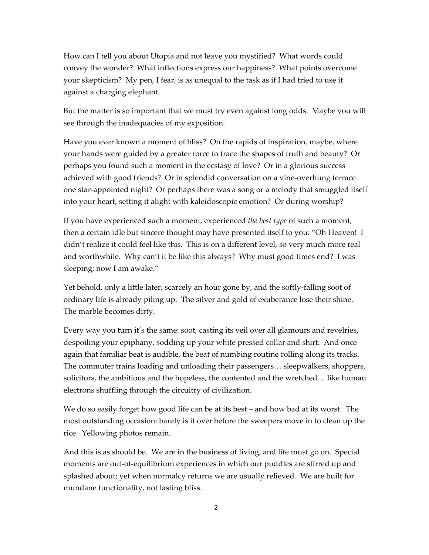How can I tell you about Utopia and not leave you mystified? What words could convey the wonder? What inflections express our happiness? What points overcome your skepticism? My pen, I fear, is as unequal to the task as if I had tried to use it against a charging elephant.

But the matter is so important that we must try even against long odds. Maybe you will see through the inadequacies of my exposition.

Have you ever known a moment of bliss? On the rapids of inspiration, maybe, where your hands were guided by a greater force to trace the shapes of truth and beauty? Or perhaps you found such a moment in the ecstasy of love? Or in a glorious success achieved with good friends? Or in splendid conversation on a vine-overhung terrace one star-appointed night? Or perhaps there was a song or a melody that smuggled itself into your heart, setting it alight with kaleidoscopic emotion? Or during worship?

If you have experienced such a moment, experienced *the best type* of such a moment, then a certain idle but sincere thought may have presented itself to you: "Oh Heaven! I didn't realize it could feel like this. This is on a different level, so very much more real and worthwhile. Why can't it be like this always? Why must good times end? I was sleeping; now I am awake."

Yet behold, only a little later, scarcely an hour gone by, and the softly-falling soot of ordinary life is already piling up. The silver and gold of exuberance lose their shine. The marble becomes dirty.

Every way you turn it's the same: soot, casting its veil over all glamours and revelries, despoiling your epiphany, sodding up your white pressed collar and shirt. And once again that familiar beat is audible, the beat of numbing routine rolling along its tracks. The commuter trains loading and unloading their passengers… sleepwalkers, shoppers, solicitors, the ambitious and the hopeless, the contented and the wretched… like human electrons shuffling through the circuitry of civilization.

We do so easily forget how good life can be at its best – and how bad at its worst. The most outstanding occasion: barely is it over before the sweepers move in to clean up the rice. Yellowing photos remain.

And this is as should be. We are in the business of living, and life must go on. Special moments are out-of-equilibrium experiences in which our puddles are stirred up and splashed about; yet when normalcy returns we are usually relieved. We are built for mundane functionality, not lasting bliss.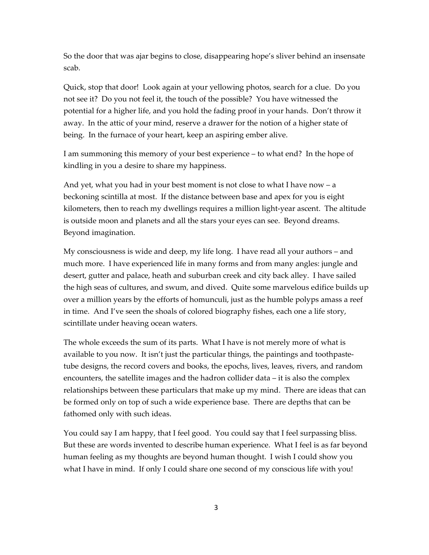So the door that was ajar begins to close, disappearing hope's sliver behind an insensate scab.

Quick, stop that door! Look again at your yellowing photos, search for a clue. Do you not see it? Do you not feel it, the touch of the possible? You have witnessed the potential for a higher life, and you hold the fading proof in your hands. Don't throw it away. In the attic of your mind, reserve a drawer for the notion of a higher state of being. In the furnace of your heart, keep an aspiring ember alive.

I am summoning this memory of your best experience – to what end? In the hope of kindling in you a desire to share my happiness.

And yet, what you had in your best moment is not close to what I have now – a beckoning scintilla at most. If the distance between base and apex for you is eight kilometers, then to reach my dwellings requires a million light-year ascent. The altitude is outside moon and planets and all the stars your eyes can see. Beyond dreams. Beyond imagination.

My consciousness is wide and deep, my life long. I have read all your authors – and much more. I have experienced life in many forms and from many angles: jungle and desert, gutter and palace, heath and suburban creek and city back alley. I have sailed the high seas of cultures, and swum, and dived. Quite some marvelous edifice builds up over a million years by the efforts of homunculi, just as the humble polyps amass a reef in time. And I've seen the shoals of colored biography fishes, each one a life story, scintillate under heaving ocean waters.

The whole exceeds the sum of its parts. What I have is not merely more of what is available to you now. It isn't just the particular things, the paintings and toothpastetube designs, the record covers and books, the epochs, lives, leaves, rivers, and random encounters, the satellite images and the hadron collider data – it is also the complex relationships between these particulars that make up my mind. There are ideas that can be formed only on top of such a wide experience base. There are depths that can be fathomed only with such ideas.

You could say I am happy, that I feel good. You could say that I feel surpassing bliss. But these are words invented to describe human experience. What I feel is as far beyond human feeling as my thoughts are beyond human thought. I wish I could show you what I have in mind. If only I could share one second of my conscious life with you!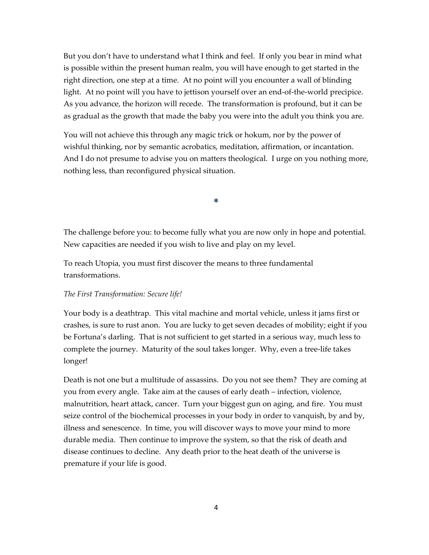But you don't have to understand what I think and feel. If only you bear in mind what is possible within the present human realm, you will have enough to get started in the right direction, one step at a time. At no point will you encounter a wall of blinding light. At no point will you have to jettison yourself over an end-of-the-world precipice. As you advance, the horizon will recede. The transformation is profound, but it can be as gradual as the growth that made the baby you were into the adult you think you are.

You will not achieve this through any magic trick or hokum, nor by the power of wishful thinking, nor by semantic acrobatics, meditation, affirmation, or incantation. And I do not presume to advise you on matters theological. I urge on you nothing more, nothing less, than reconfigured physical situation.

∗

The challenge before you: to become fully what you are now only in hope and potential. New capacities are needed if you wish to live and play on my level.

To reach Utopia, you must first discover the means to three fundamental transformations.

### *The First Transformation: Secure life!*

Your body is a deathtrap. This vital machine and mortal vehicle, unless it jams first or crashes, is sure to rust anon. You are lucky to get seven decades of mobility; eight if you be Fortuna's darling. That is not sufficient to get started in a serious way, much less to complete the journey. Maturity of the soul takes longer. Why, even a tree-life takes longer!

Death is not one but a multitude of assassins. Do you not see them? They are coming at you from every angle. Take aim at the causes of early death – infection, violence, malnutrition, heart attack, cancer. Turn your biggest gun on aging, and fire. You must seize control of the biochemical processes in your body in order to vanquish, by and by, illness and senescence. In time, you will discover ways to move your mind to more durable media. Then continue to improve the system, so that the risk of death and disease continues to decline. Any death prior to the heat death of the universe is premature if your life is good.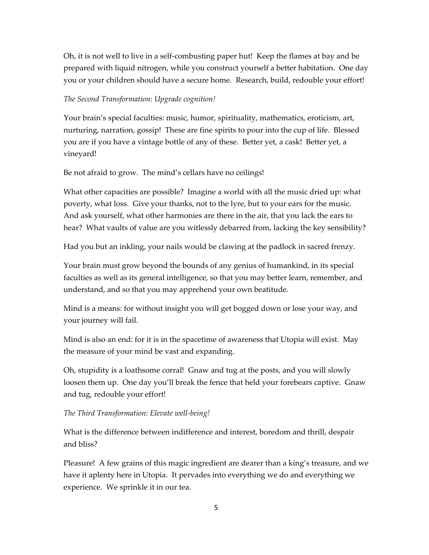Oh, it is not well to live in a self-combusting paper hut! Keep the flames at bay and be prepared with liquid nitrogen, while you construct yourself a better habitation. One day you or your children should have a secure home. Research, build, redouble your effort!

## *The Second Transformation: Upgrade cognition!*

Your brain's special faculties: music, humor, spirituality, mathematics, eroticism, art, nurturing, narration, gossip! These are fine spirits to pour into the cup of life. Blessed you are if you have a vintage bottle of any of these. Better yet, a cask! Better yet, a vineyard!

Be not afraid to grow. The mind's cellars have no ceilings!

What other capacities are possible? Imagine a world with all the music dried up: what poverty, what loss. Give your thanks, not to the lyre, but to your ears for the music. And ask yourself, what other harmonies are there in the air, that you lack the ears to hear? What vaults of value are you witlessly debarred from, lacking the key sensibility?

Had you but an inkling, your nails would be clawing at the padlock in sacred frenzy.

Your brain must grow beyond the bounds of any genius of humankind, in its special faculties as well as its general intelligence, so that you may better learn, remember, and understand, and so that you may apprehend your own beatitude.

Mind is a means: for without insight you will get bogged down or lose your way, and your journey will fail.

Mind is also an end: for it is in the spacetime of awareness that Utopia will exist. May the measure of your mind be vast and expanding.

Oh, stupidity is a loathsome corral! Gnaw and tug at the posts, and you will slowly loosen them up. One day you'll break the fence that held your forebears captive. Gnaw and tug, redouble your effort!

### *The Third Transformation: Elevate well-being!*

What is the difference between indifference and interest, boredom and thrill, despair and bliss?

Pleasure! A few grains of this magic ingredient are dearer than a king's treasure, and we have it aplenty here in Utopia. It pervades into everything we do and everything we experience. We sprinkle it in our tea.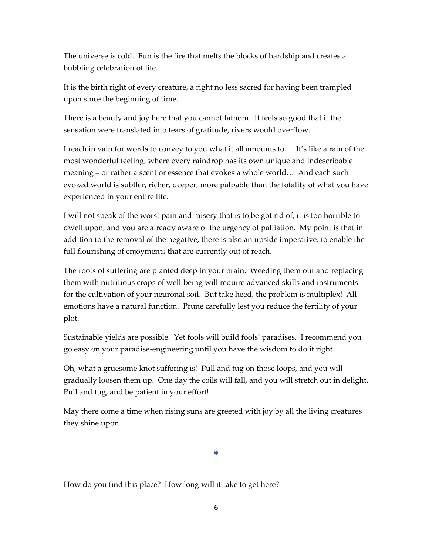The universe is cold. Fun is the fire that melts the blocks of hardship and creates a bubbling celebration of life.

It is the birth right of every creature, a right no less sacred for having been trampled upon since the beginning of time.

There is a beauty and joy here that you cannot fathom. It feels so good that if the sensation were translated into tears of gratitude, rivers would overflow.

I reach in vain for words to convey to you what it all amounts to… It's like a rain of the most wonderful feeling, where every raindrop has its own unique and indescribable meaning – or rather a scent or essence that evokes a whole world… And each such evoked world is subtler, richer, deeper, more palpable than the totality of what you have experienced in your entire life.

I will not speak of the worst pain and misery that is to be got rid of; it is too horrible to dwell upon, and you are already aware of the urgency of palliation. My point is that in addition to the removal of the negative, there is also an upside imperative: to enable the full flourishing of enjoyments that are currently out of reach.

The roots of suffering are planted deep in your brain. Weeding them out and replacing them with nutritious crops of well-being will require advanced skills and instruments for the cultivation of your neuronal soil. But take heed, the problem is multiplex! All emotions have a natural function. Prune carefully lest you reduce the fertility of your plot.

Sustainable yields are possible. Yet fools will build fools' paradises. I recommend you go easy on your paradise-engineering until you have the wisdom to do it right.

Oh, what a gruesome knot suffering is! Pull and tug on those loops, and you will gradually loosen them up. One day the coils will fall, and you will stretch out in delight. Pull and tug, and be patient in your effort!

May there come a time when rising suns are greeted with joy by all the living creatures they shine upon.

∗

How do you find this place? How long will it take to get here?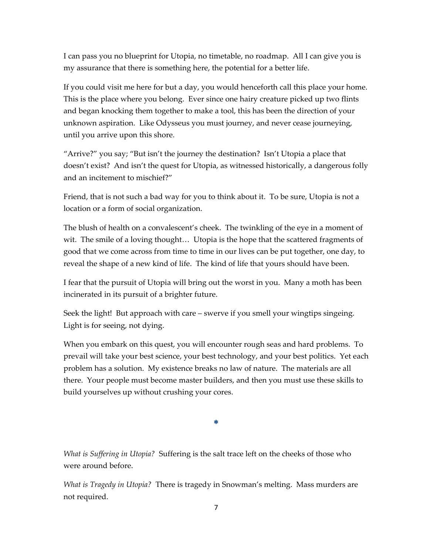I can pass you no blueprint for Utopia, no timetable, no roadmap. All I can give you is my assurance that there is something here, the potential for a better life.

If you could visit me here for but a day, you would henceforth call this place your home. This is the place where you belong. Ever since one hairy creature picked up two flints and began knocking them together to make a tool, this has been the direction of your unknown aspiration. Like Odysseus you must journey, and never cease journeying, until you arrive upon this shore.

"Arrive?" you say; "But isn't the journey the destination? Isn't Utopia a place that doesn't exist? And isn't the quest for Utopia, as witnessed historically, a dangerous folly and an incitement to mischief?"

Friend, that is not such a bad way for you to think about it. To be sure, Utopia is not a location or a form of social organization.

The blush of health on a convalescent's cheek. The twinkling of the eye in a moment of wit. The smile of a loving thought… Utopia is the hope that the scattered fragments of good that we come across from time to time in our lives can be put together, one day, to reveal the shape of a new kind of life. The kind of life that yours should have been.

I fear that the pursuit of Utopia will bring out the worst in you. Many a moth has been incinerated in its pursuit of a brighter future.

Seek the light! But approach with care – swerve if you smell your wingtips singeing. Light is for seeing, not dying.

When you embark on this quest, you will encounter rough seas and hard problems. To prevail will take your best science, your best technology, and your best politics. Yet each problem has a solution. My existence breaks no law of nature. The materials are all there. Your people must become master builders, and then you must use these skills to build yourselves up without crushing your cores.

∗

*What is Suffering in Utopia?* Suffering is the salt trace left on the cheeks of those who were around before.

*What is Tragedy in Utopia?* There is tragedy in Snowman's melting. Mass murders are not required.